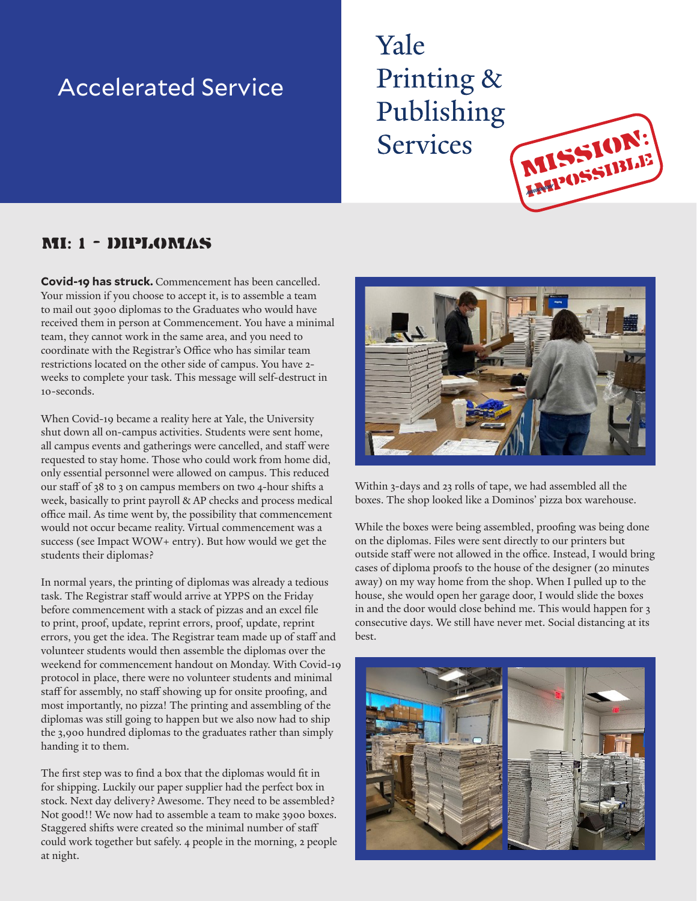## Accelerated Service

## Yale Printing & Publishing **Services**

## MI: 1 - Diplomas

**Covid-19 has struck.** Commencement has been cancelled. Your mission if you choose to accept it, is to assemble a team to mail out 3900 diplomas to the Graduates who would have received them in person at Commencement. You have a minimal team, they cannot work in the same area, and you need to coordinate with the Registrar's Office who has similar team restrictions located on the other side of campus. You have 2 weeks to complete your task. This message will self-destruct in 10-seconds.

When Covid-19 became a reality here at Yale, the University shut down all on-campus activities. Students were sent home, all campus events and gatherings were cancelled, and staff were requested to stay home. Those who could work from home did, only essential personnel were allowed on campus. This reduced our staff of 38 to 3 on campus members on two 4-hour shifts a week, basically to print payroll & AP checks and process medical office mail. As time went by, the possibility that commencement would not occur became reality. Virtual commencement was a success (see Impact WOW+ entry). But how would we get the students their diplomas?

In normal years, the printing of diplomas was already a tedious task. The Registrar staff would arrive at YPPS on the Friday before commencement with a stack of pizzas and an excel file to print, proof, update, reprint errors, proof, update, reprint errors, you get the idea. The Registrar team made up of staff and volunteer students would then assemble the diplomas over the weekend for commencement handout on Monday. With Covid-19 protocol in place, there were no volunteer students and minimal staff for assembly, no staff showing up for onsite proofing, and most importantly, no pizza! The printing and assembling of the diplomas was still going to happen but we also now had to ship the 3,900 hundred diplomas to the graduates rather than simply handing it to them.

The first step was to find a box that the diplomas would fit in for shipping. Luckily our paper supplier had the perfect box in stock. Next day delivery? Awesome. They need to be assembled? Not good!! We now had to assemble a team to make 3900 boxes. Staggered shifts were created so the minimal number of staff could work together but safely. 4 people in the morning, 2 people at night.



mission: **impossible** 

Within 3-days and 23 rolls of tape, we had assembled all the boxes. The shop looked like a Dominos' pizza box warehouse.

While the boxes were being assembled, proofing was being done on the diplomas. Files were sent directly to our printers but outside staff were not allowed in the office. Instead, I would bring cases of diploma proofs to the house of the designer (20 minutes away) on my way home from the shop. When I pulled up to the house, she would open her garage door, I would slide the boxes in and the door would close behind me. This would happen for 3 consecutive days. We still have never met. Social distancing at its best.